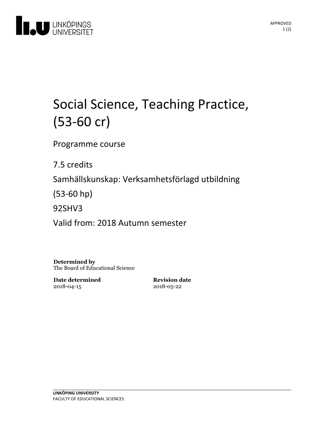

# Social Science, Teaching Practice, (53-60 cr)

Programme course

7.5 credits

Samhällskunskap: Verksamhetsförlagd utbildning

(53-60 hp)

92SHV3

Valid from: 2018 Autumn semester

**Determined by** The Board of Educational Science

**Date determined** 2018-04-15

**Revision date** 2018-05-22